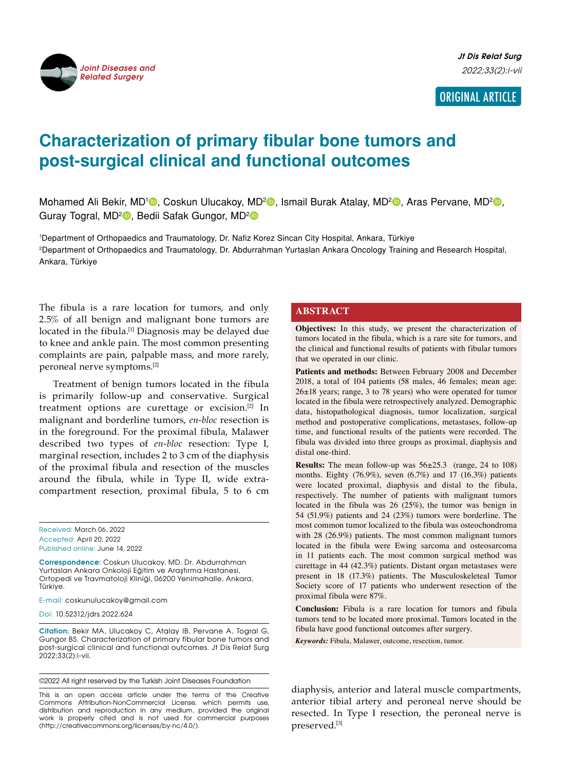

**Jt Dis Relat Surg** 2022;33(2):i-vii

# ORIGINAL ARTICLE

# **Characterization of primary fibular bone tumors and post-surgical clinical and functional outcomes**

Mohamed Ali Bekir, MD<sup>1</sup>D, Coskun Ulucakoy, MD<sup>2</sup>D, Ismail Burak Atalay, MD<sup>2</sup>D, Aras Pervane, MD<sup>2</sup>D, Guray Togral, MD<sup>2</sup><sup>®</sup>, Bedii Safak Gungor, MD<sup>2</sup><sup>®</sup>

1 Department of Orthopaedics and Traumatology, Dr. Nafiz Korez Sincan City Hospital, Ankara, Türkiye 2 Department of Orthopaedics and Traumatology, Dr. Abdurrahman Yurtaslan Ankara Oncology Training and Research Hospital, Ankara, Türkiye

The fibula is a rare location for tumors, and only 2.5% of all benign and malignant bone tumors are located in the fibula.<sup>[1]</sup> Diagnosis may be delayed due to knee and ankle pain. The most common presenting complaints are pain, palpable mass, and more rarely, peroneal nerve symptoms.[2]

Treatment of benign tumors located in the fibula is primarily follow-up and conservative. Surgical treatment options are curettage or excision.[2] In malignant and borderline tumors, *en-bloc* resection is in the foreground. For the proximal fibula, Malawer described two types of *en-bloc* resection: Type I, marginal resection, includes 2 to 3 cm of the diaphysis of the proximal fibula and resection of the muscles around the fibula, while in Type II, wide extracompartment resection, proximal fibula, 5 to 6 cm

Received: March 06, 2022 Accepted: April 20, 2022 Published online: June 14, 2022

**Correspondence**: Coskun Ulucakoy, MD. Dr. Abdurrahman Yurtaslan Ankara Onkoloji Eğitim ve Araştırma Hastanesi, Ortopedi ve Travmatoloji Kliniği, 06200 Yenimahalle, Ankara, Türkiye.

E-mail: coskunulucakoy@gmail.com

Doi: 10.52312/jdrs.2022.624

**Citation:** Bekir MA, Ulucakoy C, Atalay IB, Pervane A, Togral G, Gungor BS. Characterization of primary fibular bone tumors and post-surgical clinical and functional outcomes. Jt Dis Relat Surg 2022;33(2):i-vii.

©2022 All right reserved by the Turkish Joint Diseases Foundation

This is an open access article under the terms of the Creative Commons Attribution-NonCommercial License, which permits use, distribution and reproduction in any medium, provided the original work is properly cited and is not used for commercial purposes (http://creativecommons.org/licenses/by-nc/4.0/).

#### **ABSTRACT**

**Objectives:** In this study, we present the characterization of tumors located in the fibula, which is a rare site for tumors, and the clinical and functional results of patients with fibular tumors that we operated in our clinic.

**Patients and methods:** Between February 2008 and December 2018, a total of 104 patients (58 males, 46 females; mean age: 26±18 years; range, 3 to 78 years) who were operated for tumor located in the fibula were retrospectively analyzed. Demographic data, histopathological diagnosis, tumor localization, surgical method and postoperative complications, metastases, follow-up time, and functional results of the patients were recorded. The fibula was divided into three groups as proximal, diaphysis and distal one-third.

**Results:** The mean follow-up was 56±25.3 (range, 24 to 108) months. Eighty (76.9%), seven (6.7%) and 17 (16.3%) patients were located proximal, diaphysis and distal to the fibula, respectively. The number of patients with malignant tumors located in the fibula was 26 (25%), the tumor was benign in 54 (51.9%) patients and 24 (23%) tumors were borderline. The most common tumor localized to the fibula was osteochondroma with 28 (26.9%) patients. The most common malignant tumors located in the fibula were Ewing sarcoma and osteosarcoma in 11 patients each. The most common surgical method was curettage in 44 (42.3%) patients. Distant organ metastases were present in 18 (17.3%) patients. The Musculoskeleteal Tumor Society score of 17 patients who underwent resection of the proximal fibula were 87%.

**Conclusion:** Fibula is a rare location for tumors and fibula tumors tend to be located more proximal. Tumors located in the fibula have good functional outcomes after surgery.

*Keywords:* Fibula, Malawer, outcome, resection, tumor.

diaphysis, anterior and lateral muscle compartments, anterior tibial artery and peroneal nerve should be resected. In Type I resection, the peroneal nerve is preserved.[3]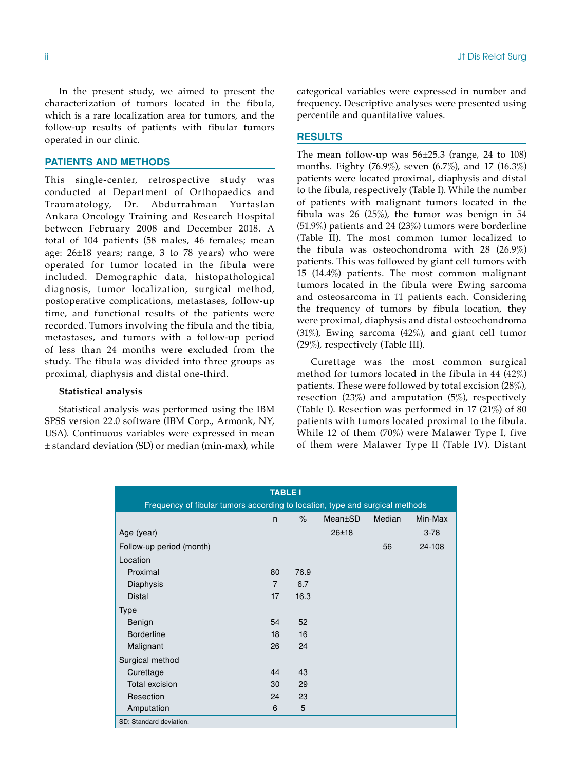ii Jt Dis Relat Surg

In the present study, we aimed to present the characterization of tumors located in the fibula, which is a rare localization area for tumors, and the follow-up results of patients with fibular tumors operated in our clinic.

### **PATIENTS AND METHODS**

This single-center, retrospective study was conducted at Department of Orthopaedics and Traumatology, Dr. Abdurrahman Yurtaslan Ankara Oncology Training and Research Hospital between February 2008 and December 2018. A total of 104 patients (58 males, 46 females; mean age:  $26\pm18$  years; range, 3 to 78 years) who were operated for tumor located in the fibula were included. Demographic data, histopathological diagnosis, tumor localization, surgical method, postoperative complications, metastases, follow-up time, and functional results of the patients were recorded. Tumors involving the fibula and the tibia, metastases, and tumors with a follow-up period of less than 24 months were excluded from the study. The fibula was divided into three groups as proximal, diaphysis and distal one-third.

# **Statistical analysis**

Statistical analysis was performed using the IBM SPSS version 22.0 software (IBM Corp., Armonk, NY, USA). Continuous variables were expressed in mean  $±$  standard deviation (SD) or median (min-max), while categorical variables were expressed in number and frequency. Descriptive analyses were presented using percentile and quantitative values.

## **RESULTS**

The mean follow-up was  $56\pm25.3$  (range, 24 to 108) months. Eighty (76.9%), seven (6.7%), and 17 (16.3%) patients were located proximal, diaphysis and distal to the fibula, respectively (Table I). While the number of patients with malignant tumors located in the fibula was 26 (25%), the tumor was benign in 54 (51.9%) patients and 24 (23%) tumors were borderline (Table II). The most common tumor localized to the fibula was osteochondroma with 28 (26.9%) patients. This was followed by giant cell tumors with 15 (14.4%) patients. The most common malignant tumors located in the fibula were Ewing sarcoma and osteosarcoma in 11 patients each. Considering the frequency of tumors by fibula location, they were proximal, diaphysis and distal osteochondroma (31%), Ewing sarcoma (42%), and giant cell tumor (29%), respectively (Table III).

Curettage was the most common surgical method for tumors located in the fibula in 44 (42%) patients. These were followed by total excision (28%), resection  $(23%)$  and amputation  $(5%)$ , respectively (Table I). Resection was performed in 17 (21%) of 80 patients with tumors located proximal to the fibula. While 12 of them (70%) were Malawer Type I, five of them were Malawer Type II (Table IV). Distant

| <b>TABLE I</b><br>Frequency of fibular tumors according to location, type and surgical methods |                |      |           |    |          |  |  |  |  |  |
|------------------------------------------------------------------------------------------------|----------------|------|-----------|----|----------|--|--|--|--|--|
| $\%$<br>Min-Max<br>Mean±SD<br>Median<br>n                                                      |                |      |           |    |          |  |  |  |  |  |
| Age (year)                                                                                     |                |      | $26 + 18$ |    | $3 - 78$ |  |  |  |  |  |
| Follow-up period (month)                                                                       |                |      |           | 56 | 24-108   |  |  |  |  |  |
|                                                                                                |                |      |           |    |          |  |  |  |  |  |
| Location                                                                                       |                |      |           |    |          |  |  |  |  |  |
| Proximal                                                                                       | 80             | 76.9 |           |    |          |  |  |  |  |  |
| Diaphysis                                                                                      | $\overline{7}$ | 6.7  |           |    |          |  |  |  |  |  |
| Distal                                                                                         | 17             | 16.3 |           |    |          |  |  |  |  |  |
| <b>Type</b>                                                                                    |                |      |           |    |          |  |  |  |  |  |
| Benign                                                                                         | 54             | 52   |           |    |          |  |  |  |  |  |
| <b>Borderline</b>                                                                              | 18             | 16   |           |    |          |  |  |  |  |  |
| Malignant                                                                                      | 26             | 24   |           |    |          |  |  |  |  |  |
| Surgical method                                                                                |                |      |           |    |          |  |  |  |  |  |
| Curettage                                                                                      | 44             | 43   |           |    |          |  |  |  |  |  |
| Total excision                                                                                 | 30             | 29   |           |    |          |  |  |  |  |  |
| Resection                                                                                      | 24             | 23   |           |    |          |  |  |  |  |  |
| Amputation                                                                                     | 6              | 5    |           |    |          |  |  |  |  |  |
| SD: Standard deviation.                                                                        |                |      |           |    |          |  |  |  |  |  |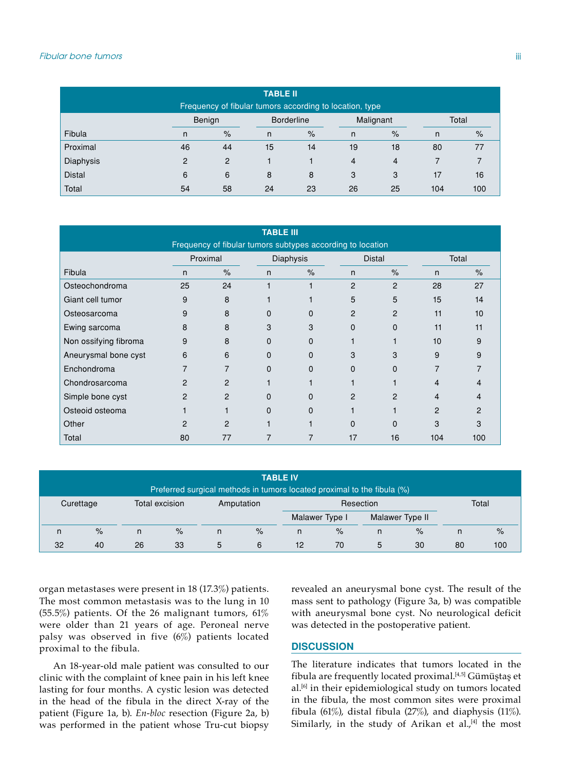| <b>TABLE II</b><br>Frequency of fibular tumors according to location, type |        |      |                   |    |                |                |       |      |
|----------------------------------------------------------------------------|--------|------|-------------------|----|----------------|----------------|-------|------|
|                                                                            | Benign |      | <b>Borderline</b> |    | Malignant      |                | Total |      |
| Fibula                                                                     | n      | $\%$ | n                 | %  | n              | $\%$           | n     | $\%$ |
| Proximal                                                                   | 46     | 44   | 15                | 14 | 19             | 18             | 80    | 77   |
| Diaphysis                                                                  | 2      | 2    |                   |    | $\overline{4}$ | $\overline{4}$ |       |      |
| <b>Distal</b>                                                              | 6      | 6    | 8                 | 8  | 3              | 3              | 17    | 16   |
| Total                                                                      | 54     | 58   | 24                | 23 | 26             | 25             | 104   | 100  |

| <b>TABLE III</b>                                           |          |                |                  |               |                |                |                |               |
|------------------------------------------------------------|----------|----------------|------------------|---------------|----------------|----------------|----------------|---------------|
| Frequency of fibular tumors subtypes according to location |          |                |                  |               |                |                |                |               |
|                                                            | Proximal |                | <b>Diaphysis</b> |               | <b>Distal</b>  |                | Total          |               |
| Fibula                                                     | n        | $\frac{9}{6}$  | $\mathsf{n}$     | $\frac{9}{6}$ | n              | $\frac{9}{6}$  | n              | $\frac{9}{6}$ |
| Osteochondroma                                             | 25       | 24             |                  |               | $\overline{2}$ | $\overline{2}$ | 28             | 27            |
| Giant cell tumor                                           | 9        | 8              |                  |               | 5              | 5              | 15             | 14            |
| Osteosarcoma                                               | 9        | 8              | $\Omega$         | 0             | $\overline{2}$ | $\overline{2}$ | 11             | 10            |
| Ewing sarcoma                                              | 8        | 8              | 3                | 3             | $\Omega$       | $\Omega$       | 11             | 11            |
| Non ossifying fibroma                                      | 9        | 8              | $\Omega$         | 0             |                |                | 10             | 9             |
| Aneurysmal bone cyst                                       | 6        | 6              | $\Omega$         | 0             | 3              | 3              | 9              | 9             |
| Enchondroma                                                | 7        | 7              | $\Omega$         | $\Omega$      | $\Omega$       | $\Omega$       | $\overline{7}$ |               |
| Chondrosarcoma                                             | 2        | $\overline{2}$ |                  |               |                |                |                |               |
| Simple bone cyst                                           | 2        | $\overline{2}$ | $\Omega$         | $\Omega$      | 2              | $\mathcal{P}$  | 4              | 4             |
| Osteoid osteoma                                            |          |                | $\Omega$         | 0             |                |                | $\overline{2}$ | $\mathcal{P}$ |
| Other                                                      | 2        | 2              |                  |               | $\Omega$       | $\Omega$       | 3              | 3             |
| Total                                                      | 80       | 77             |                  |               | 17             | 16             | 104            | 100           |

| <b>TABLE IV</b>                                                         |                                           |    |      |   |           |                |       |                 |      |    |      |
|-------------------------------------------------------------------------|-------------------------------------------|----|------|---|-----------|----------------|-------|-----------------|------|----|------|
| Preferred surgical methods in tumors located proximal to the fibula (%) |                                           |    |      |   |           |                |       |                 |      |    |      |
|                                                                         | Total excision<br>Amputation<br>Curettage |    |      |   | Resection |                | Total |                 |      |    |      |
|                                                                         |                                           |    |      |   |           | Malawer Type I |       | Malawer Type II |      |    |      |
| n                                                                       | $\frac{9}{6}$                             | n  | $\%$ | n | $\%$      | n              | $\%$  | n               | $\%$ | n  | $\%$ |
| 32                                                                      | 40                                        | 26 | 33   | 5 | 6         | 12             | 70    | 5               | 30   | 80 | 100  |

organ metastases were present in 18 (17.3%) patients. The most common metastasis was to the lung in 10 (55.5%) patients. Of the 26 malignant tumors, 61% were older than 21 years of age. Peroneal nerve palsy was observed in five  $(6%)$  patients located proximal to the fibula.

An 18-year-old male patient was consulted to our clinic with the complaint of knee pain in his left knee lasting for four months. A cystic lesion was detected in the head of the fibula in the direct X-ray of the patient (Figure 1a, b). *En-bloc* resection (Figure 2a, b) was performed in the patient whose Tru-cut biopsy revealed an aneurysmal bone cyst. The result of the mass sent to pathology (Figure 3a, b) was compatible with aneurysmal bone cyst. No neurological deficit was detected in the postoperative patient.

#### **DISCUSSION**

The literature indicates that tumors located in the fibula are frequently located proximal.[4,5] Gümüştaş et al.<sup>[6]</sup> in their epidemiological study on tumors located in the fibula, the most common sites were proximal fibula (61%), distal fibula (27%), and diaphysis (11%). Similarly, in the study of Arikan et al. $,[4]$  the most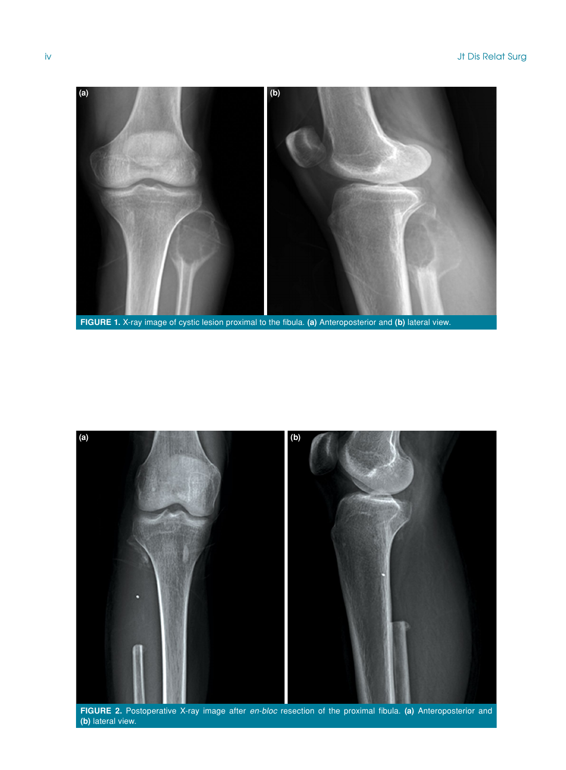

**FIGURE 1.** X-ray image of cystic lesion proximal to the fibula. **(a)** Anteroposterior and **(b)** lateral view.



**FIGURE 2.** Postoperative X-ray image after *en-bloc* resection of the proximal fibula. **(a)** Anteroposterior and **(b)** lateral view.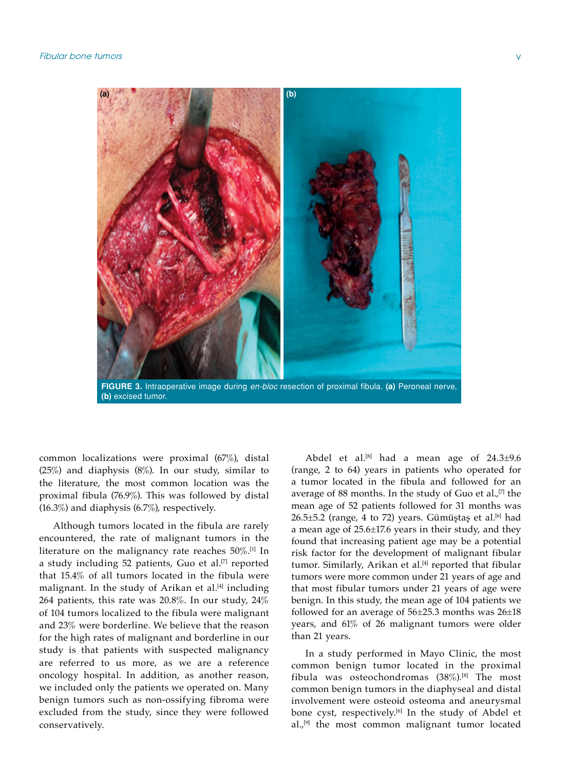

common localizations were proximal (67%), distal (25%) and diaphysis (8%). In our study, similar to the literature, the most common location was the

Although tumors located in the fibula are rarely encountered, the rate of malignant tumors in the literature on the malignancy rate reaches  $50\%$ .<sup>[1]</sup> In a study including 52 patients, Guo et al.<sup>[7]</sup> reported that 15.4% of all tumors located in the fibula were malignant. In the study of Arikan et al.<sup>[4]</sup> including 264 patients, this rate was 20.8%. In our study, 24% of 104 tumors localized to the fibula were malignant and 23% were borderline. We believe that the reason for the high rates of malignant and borderline in our study is that patients with suspected malignancy are referred to us more, as we are a reference oncology hospital. In addition, as another reason, we included only the patients we operated on. Many benign tumors such as non-ossifying fibroma were excluded from the study, since they were followed conservatively.

proximal fibula (76.9%). This was followed by distal

(16.3%) and diaphysis (6.7%), respectively.

Abdel et al.<sup>[8]</sup> had a mean age of  $24.3\pm9.6$ (range, 2 to 64) years in patients who operated for a tumor located in the fibula and followed for an average of 88 months. In the study of Guo et al., $[7]$  the mean age of 52 patients followed for 31 months was  $26.5\pm5.2$  (range, 4 to 72) years. Gümüştaş et al.<sup>[6]</sup> had a mean age of 25.6±17.6 years in their study, and they found that increasing patient age may be a potential risk factor for the development of malignant fibular tumor. Similarly, Arikan et al.<sup>[4]</sup> reported that fibular tumors were more common under 21 years of age and that most fibular tumors under 21 years of age were benign. In this study, the mean age of 104 patients we followed for an average of  $56\pm25.3$  months was  $26\pm18$ years, and 61% of 26 malignant tumors were older than 21 years.

In a study performed in Mayo Clinic, the most common benign tumor located in the proximal fibula was osteochondromas  $(38\%)$ <sup>[8]</sup> The most common benign tumors in the diaphyseal and distal involvement were osteoid osteoma and aneurysmal bone cyst, respectively.<sup>[6]</sup> In the study of Abdel et  $al<sub>1</sub>$ <sup>[9]</sup> the most common malignant tumor located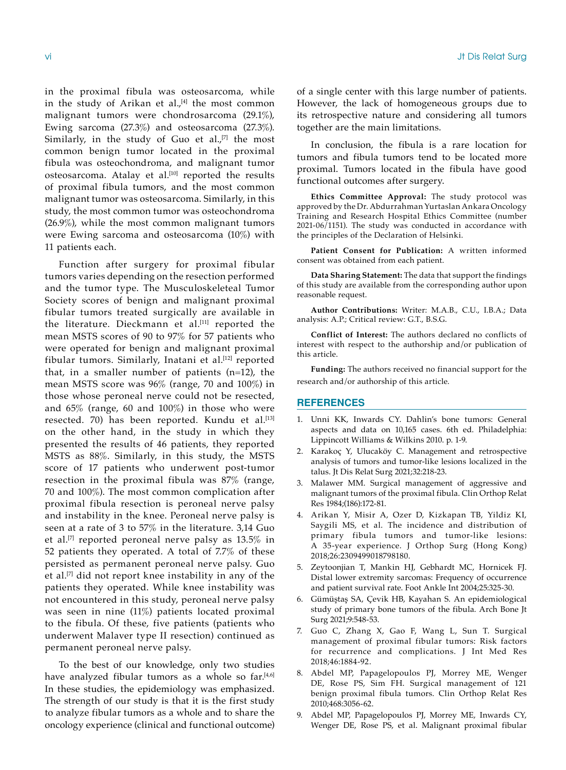in the proximal fibula was osteosarcoma, while in the study of Arikan et al. $^{[4]}$  the most common malignant tumors were chondrosarcoma (29.1%), Ewing sarcoma (27.3%) and osteosarcoma (27.3%). Similarly, in the study of Guo et al., $[7]$  the most common benign tumor located in the proximal fibula was osteochondroma, and malignant tumor osteosarcoma. Atalay et al.<sup>[10]</sup> reported the results of proximal fibula tumors, and the most common malignant tumor was osteosarcoma. Similarly, in this study, the most common tumor was osteochondroma (26.9%), while the most common malignant tumors were Ewing sarcoma and osteosarcoma (10%) with 11 patients each.

Function after surgery for proximal fibular tumors varies depending on the resection performed and the tumor type. The Musculoskeleteal Tumor Society scores of benign and malignant proximal fibular tumors treated surgically are available in the literature. Dieckmann et al.<sup>[11]</sup> reported the mean MSTS scores of 90 to 97% for 57 patients who were operated for benign and malignant proximal fibular tumors. Similarly, Inatani et al.<sup>[12]</sup> reported that, in a smaller number of patients  $(n=12)$ , the mean MSTS score was 96% (range, 70 and 100%) in those whose peroneal nerve could not be resected, and 65% (range, 60 and 100%) in those who were resected. 70) has been reported. Kundu et al.<sup>[13]</sup> on the other hand, in the study in which they presented the results of 46 patients, they reported MSTS as 88%. Similarly, in this study, the MSTS score of 17 patients who underwent post-tumor resection in the proximal fibula was 87% (range, 70 and 100%). The most common complication after proximal fibula resection is peroneal nerve palsy and instability in the knee. Peroneal nerve palsy is seen at a rate of 3 to 57% in the literature. 3,14 Guo et al.<sup>[7]</sup> reported peroneal nerve palsy as  $13.5\%$  in 52 patients they operated. A total of 7.7% of these persisted as permanent peroneal nerve palsy. Guo et al.[7] did not report knee instability in any of the patients they operated. While knee instability was not encountered in this study, peroneal nerve palsy was seen in nine (11%) patients located proximal to the fibula. Of these, five patients (patients who underwent Malaver type II resection) continued as permanent peroneal nerve palsy.

To the best of our knowledge, only two studies have analyzed fibular tumors as a whole so far.<sup>[4,6]</sup> In these studies, the epidemiology was emphasized. The strength of our study is that it is the first study to analyze fibular tumors as a whole and to share the oncology experience (clinical and functional outcome) of a single center with this large number of patients. However, the lack of homogeneous groups due to its retrospective nature and considering all tumors together are the main limitations.

In conclusion, the fibula is a rare location for tumors and fibula tumors tend to be located more proximal. Tumors located in the fibula have good functional outcomes after surgery.

**Ethics Committee Approval:** The study protocol was approved by the Dr. Abdurrahman Yurtaslan Ankara Oncology Training and Research Hospital Ethics Committee (number  $2021-06/1151$ ). The study was conducted in accordance with the principles of the Declaration of Helsinki.

**Patient Consent for Publication:** A written informed consent was obtained from each patient.

**Data Sharing Statement:** The data that support the findings of this study are available from the corresponding author upon reasonable request.

**Author Contributions:** Writer: M.A.B., C.U., I.B.A.; Data analysis: A.P.; Critical review: G.T., B.S.G.

**Conflict of Interest:** The authors declared no conflicts of interest with respect to the authorship and/or publication of this article.

**Funding:** The authors received no financial support for the research and/or authorship of this article.

#### **REFERENCES**

- 1. Unni KK, Inwards CY. Dahlin's bone tumors: General aspects and data on 10,165 cases. 6th ed. Philadelphia: Lippincott Williams & Wilkins 2010. p. 1-9.
- 2. Karakoç Y, Ulucaköy C. Management and retrospective analysis of tumors and tumor-like lesions localized in the talus. Jt Dis Relat Surg 2021;32:218-23.
- 3. Malawer MM. Surgical management of aggressive and malignant tumors of the proximal fibula. Clin Orthop Relat Res 1984;(186):172-81.
- 4. Arikan Y, Misir A, Ozer D, Kizkapan TB, Yildiz KI, Saygili MS, et al. The incidence and distribution of primary fibula tumors and tumor-like lesions: A 35-year experience. J Orthop Surg (Hong Kong) 2018;26:2309499018798180.
- 5. Zeytoonjian T, Mankin HJ, Gebhardt MC, Hornicek FJ. Distal lower extremity sarcomas: Frequency of occurrence and patient survival rate. Foot Ankle Int 2004;25:325-30.
- 6. Gümüştaş SA, Çevik HB, Kayahan S. An epidemiological study of primary bone tumors of the fibula. Arch Bone Jt Surg 2021;9:548-53.
- 7. Guo C, Zhang X, Gao F, Wang L, Sun T. Surgical management of proximal fibular tumors: Risk factors for recurrence and complications. J Int Med Res 2018;46:1884-92.
- 8. Abdel MP, Papagelopoulos PJ, Morrey ME, Wenger DE, Rose PS, Sim FH. Surgical management of 121 benign proximal fibula tumors. Clin Orthop Relat Res 2010;468:3056-62.
- 9. Abdel MP, Papagelopoulos PJ, Morrey ME, Inwards CY, Wenger DE, Rose PS, et al. Malignant proximal fibular